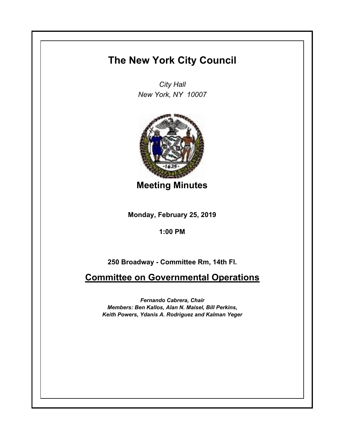## **The New York City Council**

*City Hall New York, NY 10007*



**Meeting Minutes**

**Monday, February 25, 2019**

**1:00 PM**

**250 Broadway - Committee Rm, 14th Fl.**

**Committee on Governmental Operations**

*Fernando Cabrera, Chair Members: Ben Kallos, Alan N. Maisel, Bill Perkins, Keith Powers, Ydanis A. Rodriguez and Kalman Yeger*